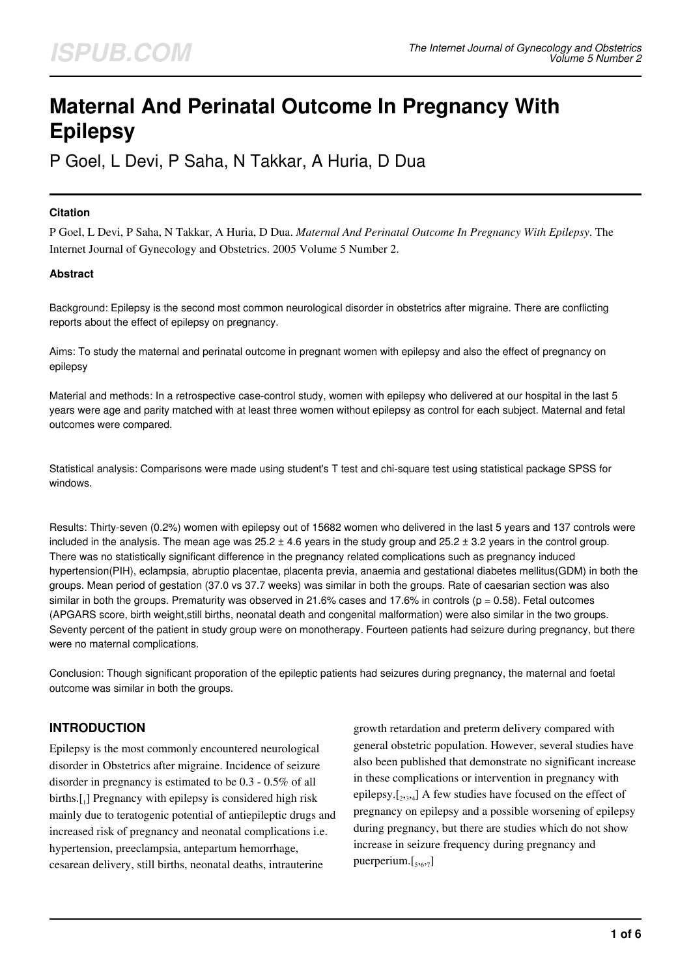# **Maternal And Perinatal Outcome In Pregnancy With Epilepsy**

P Goel, L Devi, P Saha, N Takkar, A Huria, D Dua

### **Citation**

P Goel, L Devi, P Saha, N Takkar, A Huria, D Dua. *Maternal And Perinatal Outcome In Pregnancy With Epilepsy*. The Internet Journal of Gynecology and Obstetrics. 2005 Volume 5 Number 2.

### **Abstract**

Background: Epilepsy is the second most common neurological disorder in obstetrics after migraine. There are conflicting reports about the effect of epilepsy on pregnancy.

Aims: To study the maternal and perinatal outcome in pregnant women with epilepsy and also the effect of pregnancy on epilepsy

Material and methods: In a retrospective case-control study, women with epilepsy who delivered at our hospital in the last 5 years were age and parity matched with at least three women without epilepsy as control for each subject. Maternal and fetal outcomes were compared.

Statistical analysis: Comparisons were made using student's T test and chi-square test using statistical package SPSS for windows.

Results: Thirty-seven (0.2%) women with epilepsy out of 15682 women who delivered in the last 5 years and 137 controls were included in the analysis. The mean age was  $25.2 \pm 4.6$  years in the study group and  $25.2 \pm 3.2$  years in the control group. There was no statistically significant difference in the pregnancy related complications such as pregnancy induced hypertension(PIH), eclampsia, abruptio placentae, placenta previa, anaemia and gestational diabetes mellitus(GDM) in both the groups. Mean period of gestation (37.0 vs 37.7 weeks) was similar in both the groups. Rate of caesarian section was also similar in both the groups. Prematurity was observed in 21.6% cases and 17.6% in controls ( $p = 0.58$ ). Fetal outcomes (APGARS score, birth weight,still births, neonatal death and congenital malformation) were also similar in the two groups. Seventy percent of the patient in study group were on monotherapy. Fourteen patients had seizure during pregnancy, but there were no maternal complications.

Conclusion: Though significant proporation of the epileptic patients had seizures during pregnancy, the maternal and foetal outcome was similar in both the groups.

# **INTRODUCTION**

Epilepsy is the most commonly encountered neurological disorder in Obstetrics after migraine. Incidence of seizure disorder in pregnancy is estimated to be 0.3 - 0.5% of all births.[1] Pregnancy with epilepsy is considered high risk mainly due to teratogenic potential of antiepileptic drugs and increased risk of pregnancy and neonatal complications i.e. hypertension, preeclampsia, antepartum hemorrhage, cesarean delivery, still births, neonatal deaths, intrauterine

growth retardation and preterm delivery compared with general obstetric population. However, several studies have also been published that demonstrate no significant increase in these complications or intervention in pregnancy with epilepsy. $[2,3,4]$  A few studies have focused on the effect of pregnancy on epilepsy and a possible worsening of epilepsy during pregnancy, but there are studies which do not show increase in seizure frequency during pregnancy and puerperium.[<sub>5,6,7</sub>]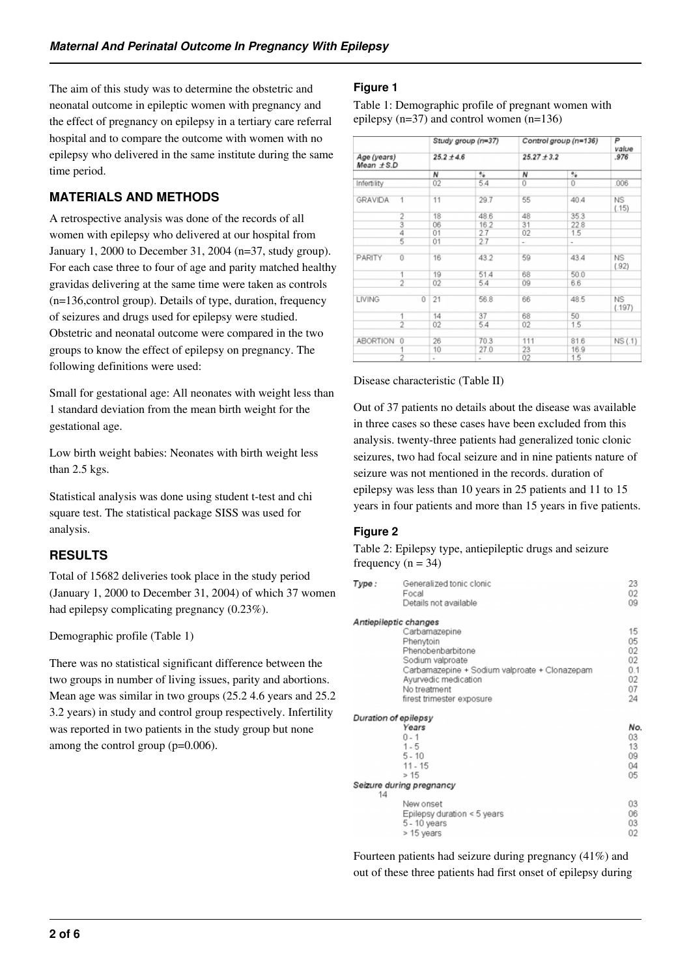The aim of this study was to determine the obstetric and neonatal outcome in epileptic women with pregnancy and the effect of pregnancy on epilepsy in a tertiary care referral hospital and to compare the outcome with women with no epilepsy who delivered in the same institute during the same time period.

# **MATERIALS AND METHODS**

A retrospective analysis was done of the records of all women with epilepsy who delivered at our hospital from January 1, 2000 to December 31, 2004 (n=37, study group). For each case three to four of age and parity matched healthy gravidas delivering at the same time were taken as controls (n=136,control group). Details of type, duration, frequency of seizures and drugs used for epilepsy were studied. Obstetric and neonatal outcome were compared in the two groups to know the effect of epilepsy on pregnancy. The following definitions were used:

Small for gestational age: All neonates with weight less than 1 standard deviation from the mean birth weight for the gestational age.

Low birth weight babies: Neonates with birth weight less than 2.5 kgs.

Statistical analysis was done using student t-test and chi square test. The statistical package SISS was used for analysis.

# **RESULTS**

Total of 15682 deliveries took place in the study period (January 1, 2000 to December 31, 2004) of which 37 women had epilepsy complicating pregnancy (0.23%).

# Demographic profile (Table 1)

There was no statistical significant difference between the two groups in number of living issues, parity and abortions. Mean age was similar in two groups (25.2 4.6 years and 25.2 3.2 years) in study and control group respectively. Infertility was reported in two patients in the study group but none among the control group (p=0.006).

# **Figure 1**

Table 1: Demographic profile of pregnant women with epilepsy (n=37) and control women (n=136)

|                               |                | Study group (n=37) |      | Control group (n=136)    |                          | P<br>value          |
|-------------------------------|----------------|--------------------|------|--------------------------|--------------------------|---------------------|
| Age (years)<br>$Mean \pm S.D$ |                | $25.2 \pm 4.6$     |      | $25.27 \pm 3.2$          |                          | .976                |
|                               |                | N                  | %    | N                        | ℁                        |                     |
| Infertility                   |                | 02                 | 5.4  | Û                        | 0                        | .006                |
| GRAVIDA                       | $\overline{1}$ | 11                 | 29.7 | 55                       | 40.4                     | NS<br>(.15)         |
|                               | 2              | 18                 | 48.6 | 48                       | 35.3                     |                     |
|                               |                | 06                 | 16.2 | 31                       | 22.8                     |                     |
|                               | 4              | 01                 | 2.7  | 02                       | 1.5                      |                     |
|                               | 5              | 01                 | 2.7  | $\overline{\phantom{a}}$ | $\overline{\phantom{a}}$ |                     |
| PARITY                        | ō              | 16                 | 43.2 | 59                       | 43.4                     | <b>NS</b><br>(.92)  |
|                               | 1              | 19                 | 51.4 | 68                       | 50.0                     |                     |
|                               | $\overline{2}$ | 02                 | 5.4  | 09                       | 6.6                      |                     |
| LIVING                        | $\overline{0}$ | 21                 | 56.8 | 66                       | 48.5                     | <b>NS</b><br>(.197) |
|                               | 1              | 14                 | 37   | 68                       | 50                       |                     |
|                               | $\overline{2}$ | 02                 | 5.4  | 02                       | 1.5                      |                     |
| <b>ABORTION</b>               | 0              | 26                 | 70.3 | 111                      | 81.6                     | NS (.1)             |
|                               |                | 10                 | 27.0 | 23                       | 16.9                     |                     |
|                               | $\overline{2}$ | ۰                  |      | 02                       | 1.5                      |                     |

### Disease characteristic (Table II)

Out of 37 patients no details about the disease was available in three cases so these cases have been excluded from this analysis. twenty-three patients had generalized tonic clonic seizures, two had focal seizure and in nine patients nature of seizure was not mentioned in the records. duration of epilepsy was less than 10 years in 25 patients and 11 to 15 years in four patients and more than 15 years in five patients.

# **Figure 2**

Table 2: Epilepsy type, antiepileptic drugs and seizure frequency  $(n = 34)$ 

| Type:                | Generalized tonic clonic<br>Focal<br>Details not available                                                                                                                                                         | 23<br>02<br>09                                |
|----------------------|--------------------------------------------------------------------------------------------------------------------------------------------------------------------------------------------------------------------|-----------------------------------------------|
|                      | Antiepileptic changes<br>Carbamazepine<br>Phenytoin<br>Phenobenbarbitone<br>Sodium valproate<br>Carbamazepine + Sodium valproate + Clonazepam<br>Ayurvedic medication<br>No treatment<br>firest trimester exposure | 15<br>05<br>02<br>02<br>0.1<br>02<br>07<br>24 |
| Duration of epilepsy | Years<br>$0 - 1$<br>$1 - 5$<br>$5 - 10$<br>$11 - 15$<br>>15                                                                                                                                                        | No<br>03<br>13<br>09<br>04<br>05              |
| 14                   | Seizure during pregnancy                                                                                                                                                                                           |                                               |
|                      | New onset<br>Epilepsy duration < 5 years<br>5 - 10 years<br>> 15 years                                                                                                                                             | 03<br>06<br>03<br>02                          |

Fourteen patients had seizure during pregnancy (41%) and out of these three patients had first onset of epilepsy during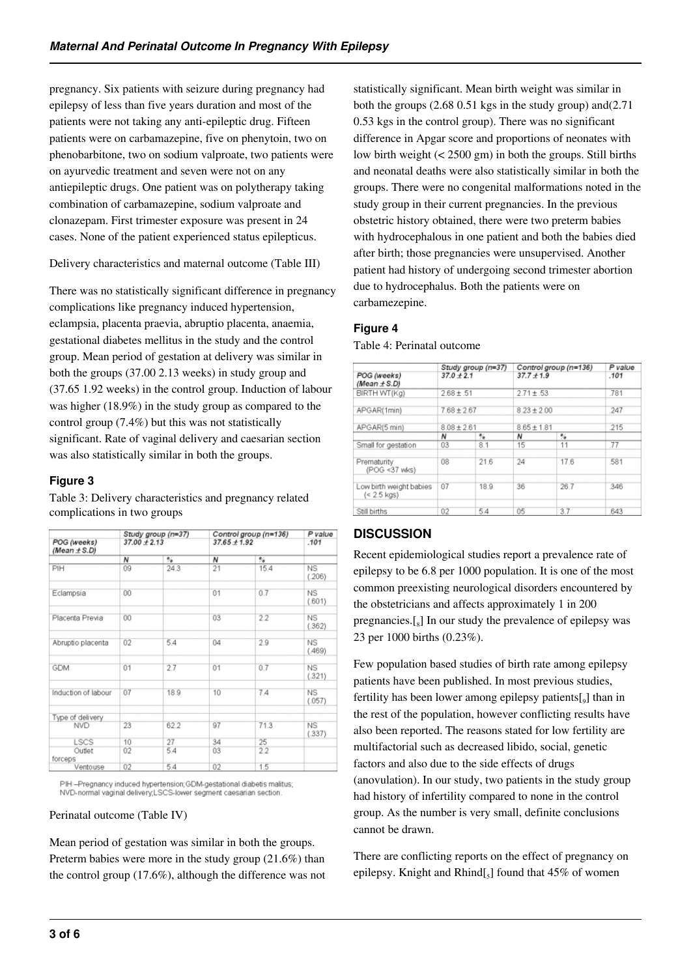pregnancy. Six patients with seizure during pregnancy had epilepsy of less than five years duration and most of the patients were not taking any anti-epileptic drug. Fifteen patients were on carbamazepine, five on phenytoin, two on phenobarbitone, two on sodium valproate, two patients were on ayurvedic treatment and seven were not on any antiepileptic drugs. One patient was on polytherapy taking combination of carbamazepine, sodium valproate and clonazepam. First trimester exposure was present in 24 cases. None of the patient experienced status epilepticus.

Delivery characteristics and maternal outcome (Table III)

There was no statistically significant difference in pregnancy complications like pregnancy induced hypertension, eclampsia, placenta praevia, abruptio placenta, anaemia, gestational diabetes mellitus in the study and the control group. Mean period of gestation at delivery was similar in both the groups (37.00 2.13 weeks) in study group and (37.65 1.92 weeks) in the control group. Induction of labour was higher (18.9%) in the study group as compared to the control group (7.4%) but this was not statistically significant. Rate of vaginal delivery and caesarian section was also statistically similar in both the groups.

# **Figure 3**

Table 3: Delivery characteristics and pregnancy related complications in two groups

| POG (weeks)         | Study group (n=37)<br>$37.00 + 2.13$ |               | Control group (n=136)<br>$37.65 \pm 1.92$ |               | P value<br>.101     |
|---------------------|--------------------------------------|---------------|-------------------------------------------|---------------|---------------------|
| (Mean $\pm$ S.D)    |                                      |               |                                           |               |                     |
|                     | Ν                                    | $\frac{9}{4}$ | Ν                                         | $\frac{1}{2}$ |                     |
| PIH                 | 09                                   | 24.3          | 21                                        | 15.4          | <b>NS</b><br>(.206) |
| Eclampsia           | 00                                   |               | 01                                        | 0.7           | <b>NS</b><br>(.601) |
| Placenta Previa     | 00                                   |               | 03                                        | 2.2           | NS<br>(.362)        |
| Abruptio placenta   | 02                                   | 5.4           | 04                                        | 2.9           | <b>NS</b><br>(.469) |
| GDM                 | 01                                   | 2.7           | 01                                        | 0.7           | <b>NS</b><br>(.321) |
| Induction of labour | 07                                   | 18.9          | 10                                        | 74            | <b>NS</b><br>(.057) |
| Type of delivery    |                                      |               |                                           |               |                     |
| <b>NVD</b>          | 23                                   | 62.2          | 97                                        | 71.3          | NS.<br>(.337)       |
| LSCS                | 10                                   | 27            | 34                                        | 25            |                     |
| Outlet<br>forceps   | 02                                   | 5.4           | 03                                        | 2.2           |                     |
| Ventouse            | 02                                   | 5.4           | 02                                        | 1.5           |                     |

PIH-Pregnancy induced hypertension; GDM-gestational diabetis malitus; NVD-normal vaginal delivery LSCS-lower segment caesarian section

### Perinatal outcome (Table IV)

Mean period of gestation was similar in both the groups. Preterm babies were more in the study group (21.6%) than the control group (17.6%), although the difference was not statistically significant. Mean birth weight was similar in both the groups (2.68 0.51 kgs in the study group) and(2.71 0.53 kgs in the control group). There was no significant difference in Apgar score and proportions of neonates with low birth weight (< 2500 gm) in both the groups. Still births and neonatal deaths were also statistically similar in both the groups. There were no congenital malformations noted in the study group in their current pregnancies. In the previous obstetric history obtained, there were two preterm babies with hydrocephalous in one patient and both the babies died after birth; those pregnancies were unsupervised. Another patient had history of undergoing second trimester abortion due to hydrocephalus. Both the patients were on carbamezepine.

# **Figure 4**

Table 4: Perinatal outcome

|                                          | Study group (n=37)<br>$37.0 + 2.1$ |      | Control group (n=136)<br>$37.7 + 1.9$ |          | P value<br>.101 |
|------------------------------------------|------------------------------------|------|---------------------------------------|----------|-----------------|
| POG (weeks)<br>(Mean $\pm$ S.D)          |                                    |      |                                       |          |                 |
| BIRTH WT(Kg)                             | $2.68 \pm .51$                     |      | $2.71 \pm .53$                        |          | .781            |
| APGAR(1min)                              | $7.68 \pm 2.67$                    |      | $8.23 \pm 2.00$                       |          | 247             |
| APGAR(5 min)                             | $8.08 \pm 2.61$                    |      | $8.65 \pm 1.81$                       |          | .215            |
|                                          | N                                  | %    | N                                     | $^{0/2}$ |                 |
| Small for gestation                      | 03                                 | 8.1  | 15                                    | 11       | .77             |
| Prematurity<br>(POG <37 wks)             | 08                                 | 21.6 | 24                                    | 17.6     | 581             |
| Low birth weight babies<br>$(< 2.5$ kas) | 07                                 | 18.9 | 36                                    | 26.7     | 346             |
| Still births                             | 02                                 | 5.4  | 05                                    | 3.7      | 643             |

# **DISCUSSION**

Recent epidemiological studies report a prevalence rate of epilepsy to be 6.8 per 1000 population. It is one of the most common preexisting neurological disorders encountered by the obstetricians and affects approximately 1 in 200 pregnancies.[8] In our study the prevalence of epilepsy was 23 per 1000 births (0.23%).

Few population based studies of birth rate among epilepsy patients have been published. In most previous studies, fertility has been lower among epilepsy patients $\left[ \begin{smallmatrix} g \end{smallmatrix} \right]$  than in the rest of the population, however conflicting results have also been reported. The reasons stated for low fertility are multifactorial such as decreased libido, social, genetic factors and also due to the side effects of drugs (anovulation). In our study, two patients in the study group had history of infertility compared to none in the control group. As the number is very small, definite conclusions cannot be drawn.

There are conflicting reports on the effect of pregnancy on epilepsy. Knight and  $Rhind_{s}$ ] found that 45% of women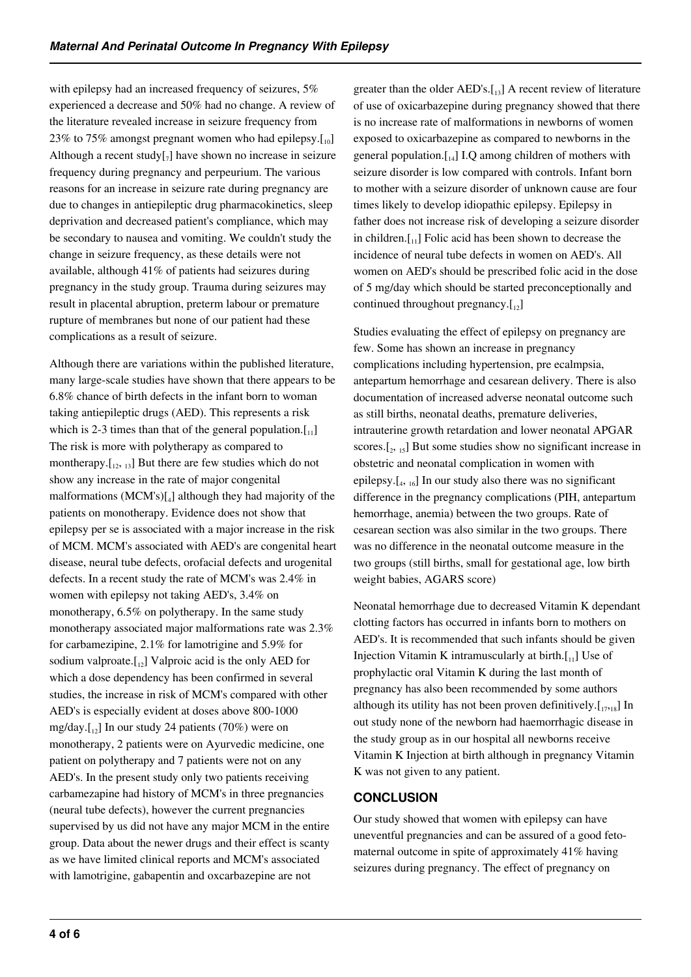with epilepsy had an increased frequency of seizures, 5% experienced a decrease and 50% had no change. A review of the literature revealed increase in seizure frequency from 23% to 75% amongst pregnant women who had epilepsy. $[10]$ Although a recent study $[\,_7]$  have shown no increase in seizure frequency during pregnancy and perpeurium. The various reasons for an increase in seizure rate during pregnancy are due to changes in antiepileptic drug pharmacokinetics, sleep deprivation and decreased patient's compliance, which may be secondary to nausea and vomiting. We couldn't study the change in seizure frequency, as these details were not available, although 41% of patients had seizures during pregnancy in the study group. Trauma during seizures may result in placental abruption, preterm labour or premature rupture of membranes but none of our patient had these complications as a result of seizure.

Although there are variations within the published literature, many large-scale studies have shown that there appears to be 6.8% chance of birth defects in the infant born to woman taking antiepileptic drugs (AED). This represents a risk which is 2-3 times than that of the general population. $[I_{11}]$ The risk is more with polytherapy as compared to montherapy. $\begin{bmatrix} 1_{12, 13} \end{bmatrix}$  But there are few studies which do not show any increase in the rate of major congenital malformations (MCM's)[<sup>4</sup> ] although they had majority of the patients on monotherapy. Evidence does not show that epilepsy per se is associated with a major increase in the risk of MCM. MCM's associated with AED's are congenital heart disease, neural tube defects, orofacial defects and urogenital defects. In a recent study the rate of MCM's was 2.4% in women with epilepsy not taking AED's, 3.4% on monotherapy, 6.5% on polytherapy. In the same study monotherapy associated major malformations rate was 2.3% for carbamezipine, 2.1% for lamotrigine and 5.9% for sodium valproate. $\begin{bmatrix} 1_{12} \end{bmatrix}$  Valproic acid is the only AED for which a dose dependency has been confirmed in several studies, the increase in risk of MCM's compared with other AED's is especially evident at doses above 800-1000 mg/day. $\begin{bmatrix} 1_{12} \end{bmatrix}$  In our study 24 patients (70%) were on monotherapy, 2 patients were on Ayurvedic medicine, one patient on polytherapy and 7 patients were not on any AED's. In the present study only two patients receiving carbamezapine had history of MCM's in three pregnancies (neural tube defects), however the current pregnancies supervised by us did not have any major MCM in the entire group. Data about the newer drugs and their effect is scanty as we have limited clinical reports and MCM's associated with lamotrigine, gabapentin and oxcarbazepine are not

greater than the older  $AED's.\begin{bmatrix} 1_{3} \end{bmatrix}$  A recent review of literature of use of oxicarbazepine during pregnancy showed that there is no increase rate of malformations in newborns of women exposed to oxicarbazepine as compared to newborns in the general population. $\begin{bmatrix} 1 & 0 \\ 1 & 1 \end{bmatrix}$  I.Q among children of mothers with seizure disorder is low compared with controls. Infant born to mother with a seizure disorder of unknown cause are four times likely to develop idiopathic epilepsy. Epilepsy in father does not increase risk of developing a seizure disorder in children. $\begin{bmatrix} 1 \\ 1 \end{bmatrix}$  Folic acid has been shown to decrease the incidence of neural tube defects in women on AED's. All women on AED's should be prescribed folic acid in the dose of 5 mg/day which should be started preconceptionally and continued throughout pregnancy. $\begin{bmatrix} 1 \\ 2 \end{bmatrix}$ 

Studies evaluating the effect of epilepsy on pregnancy are few. Some has shown an increase in pregnancy complications including hypertension, pre ecalmpsia, antepartum hemorrhage and cesarean delivery. There is also documentation of increased adverse neonatal outcome such as still births, neonatal deaths, premature deliveries, intrauterine growth retardation and lower neonatal APGAR scores. $[2, 15]$  But some studies show no significant increase in obstetric and neonatal complication in women with epilepsy.[<sup>4</sup> , 16] In our study also there was no significant difference in the pregnancy complications (PIH, antepartum hemorrhage, anemia) between the two groups. Rate of cesarean section was also similar in the two groups. There was no difference in the neonatal outcome measure in the two groups (still births, small for gestational age, low birth weight babies, AGARS score)

Neonatal hemorrhage due to decreased Vitamin K dependant clotting factors has occurred in infants born to mothers on AED's. It is recommended that such infants should be given Injection Vitamin K intramuscularly at birth. $\begin{bmatrix} 1 \\ 1 \end{bmatrix}$  Use of prophylactic oral Vitamin K during the last month of pregnancy has also been recommended by some authors although its utility has not been proven definitively. $[I_{17,18}]$  In out study none of the newborn had haemorrhagic disease in the study group as in our hospital all newborns receive Vitamin K Injection at birth although in pregnancy Vitamin K was not given to any patient.

# **CONCLUSION**

Our study showed that women with epilepsy can have uneventful pregnancies and can be assured of a good fetomaternal outcome in spite of approximately 41% having seizures during pregnancy. The effect of pregnancy on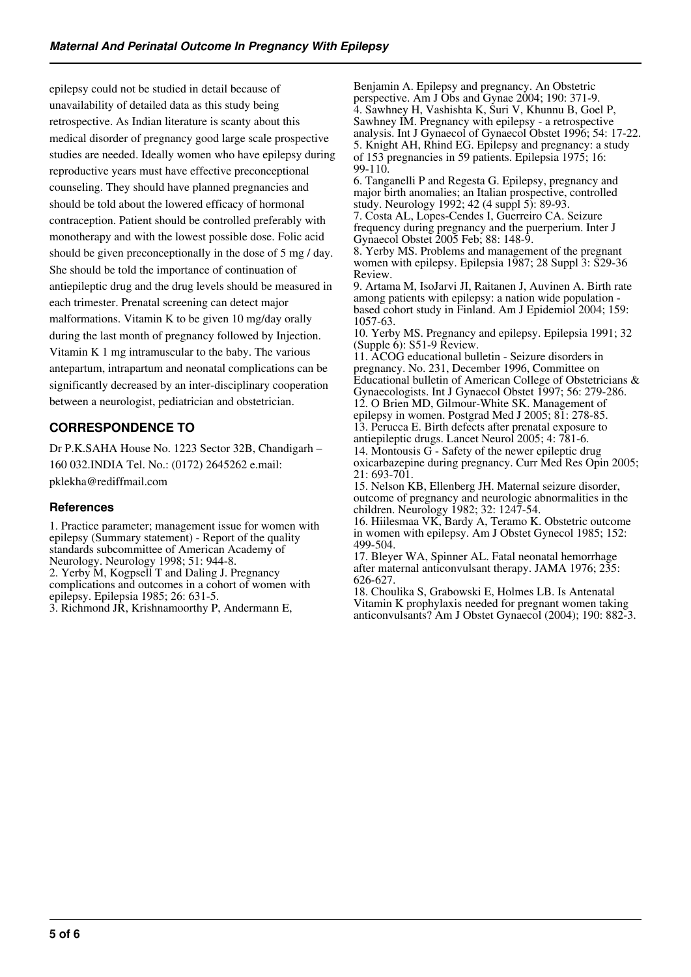epilepsy could not be studied in detail because of unavailability of detailed data as this study being retrospective. As Indian literature is scanty about this medical disorder of pregnancy good large scale prospective studies are needed. Ideally women who have epilepsy during reproductive years must have effective preconceptional counseling. They should have planned pregnancies and should be told about the lowered efficacy of hormonal contraception. Patient should be controlled preferably with monotherapy and with the lowest possible dose. Folic acid should be given preconceptionally in the dose of 5 mg / day. She should be told the importance of continuation of antiepileptic drug and the drug levels should be measured in each trimester. Prenatal screening can detect major malformations. Vitamin K to be given 10 mg/day orally during the last month of pregnancy followed by Injection. Vitamin K 1 mg intramuscular to the baby. The various antepartum, intrapartum and neonatal complications can be significantly decreased by an inter-disciplinary cooperation between a neurologist, pediatrician and obstetrician.

# **CORRESPONDENCE TO**

Dr P.K.SAHA House No. 1223 Sector 32B, Chandigarh – 160 032.INDIA Tel. No.: (0172) 2645262 e.mail: pklekha@rediffmail.com

# **References**

1. Practice parameter; management issue for women with epilepsy (Summary statement) - Report of the quality standards subcommittee of American Academy of Neurology. Neurology 1998; 51: 944-8. 2. Yerby M, Kogpsell T and Daling J. Pregnancy complications and outcomes in a cohort of women with epilepsy. Epilepsia 1985; 26: 631-5.

3. Richmond JR, Krishnamoorthy P, Andermann E,

Benjamin A. Epilepsy and pregnancy. An Obstetric perspective. Am J Obs and Gynae 2004; 190: 371-9. 4. Sawhney H, Vashishta K, Suri V, Khunnu B, Goel P, Sawhney IM. Pregnancy with epilepsy - a retrospective analysis. Int J Gynaecol of Gynaecol Obstet 1996; 54: 17-22. 5. Knight AH, Rhind EG. Epilepsy and pregnancy: a study of 153 pregnancies in 59 patients. Epilepsia 1975; 16: 99-110.

6. Tanganelli P and Regesta G. Epilepsy, pregnancy and major birth anomalies; an Italian prospective, controlled study. Neurology 1992; 42 (4 suppl 5): 89-93.

7. Costa AL, Lopes-Cendes I, Guerreiro CA. Seizure frequency during pregnancy and the puerperium. Inter J Gynaecol Obstet 2005 Feb; 88: 148-9.

8. Yerby MS. Problems and management of the pregnant women with epilepsy. Epilepsia 1987; 28 Suppl 3: S29-36 Review.

9. Artama M, IsoJarvi JI, Raitanen J, Auvinen A. Birth rate among patients with epilepsy: a nation wide population based cohort study in Finland. Am J Epidemiol 2004; 159: 1057-63.

10. Yerby MS. Pregnancy and epilepsy. Epilepsia 1991; 32 (Supple 6): S51-9 Review.

11. ACOG educational bulletin - Seizure disorders in pregnancy. No. 231, December 1996, Committee on Educational bulletin of American College of Obstetricians & Gynaecologists. Int J Gynaecol Obstet 1997; 56: 279-286. 12. O Brien MD, Gilmour-White SK. Management of epilepsy in women. Postgrad Med J 2005; 81: 278-85. 13. Perucca E. Birth defects after prenatal exposure to antiepileptic drugs. Lancet Neurol 2005; 4: 781-6. 14. Montousis G - Safety of the newer epileptic drug oxicarbazepine during pregnancy. Curr Med Res Opin 2005; 21: 693-701.

15. Nelson KB, Ellenberg JH. Maternal seizure disorder, outcome of pregnancy and neurologic abnormalities in the children. Neurology 1982; 32: 1247-54.

16. Hiilesmaa VK, Bardy A, Teramo K. Obstetric outcome in women with epilepsy. Am J Obstet Gynecol 1985; 152: 499-504.

17. Bleyer WA, Spinner AL. Fatal neonatal hemorrhage after maternal anticonvulsant therapy. JAMA 1976; 235: 626-627.

18. Choulika S, Grabowski E, Holmes LB. Is Antenatal Vitamin K prophylaxis needed for pregnant women taking anticonvulsants? Am J Obstet Gynaecol (2004); 190: 882-3.